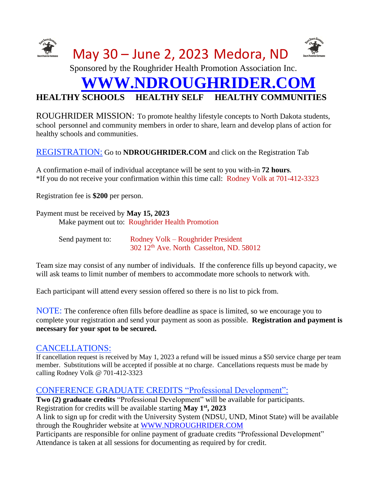

# **HEALTHY SCHOOLS HEALTHY SELF HEALTHY COMMUNITIES**

ROUGHRIDER MISSION: To promote healthy lifestyle concepts to North Dakota students, school personnel and community members in order to share, learn and develop plans of action for healthy schools and communities.

#### REGISTRATION: Go to **NDROUGHRIDER.COM** and click on the Registration Tab

A confirmation e-mail of individual acceptance will be sent to you with-in **72 hours**. \*If you do not receive your confirmation within this time call: Rodney Volk at 701-412-3323

Registration fee is **\$200** per person.

Payment must be received by **May 15, 2023** Make payment out to: Roughrider Health Promotion

| Send payment to: | Rodney Volk – Roughrider President                   |
|------------------|------------------------------------------------------|
|                  | 302 12 <sup>th</sup> Ave. North Casselton, ND. 58012 |

Team size may consist of any number of individuals. If the conference fills up beyond capacity, we will ask teams to limit number of members to accommodate more schools to network with.

Each participant will attend every session offered so there is no list to pick from.

NOTE: The conference often fills before deadline as space is limited, so we encourage you to complete your registration and send your payment as soon as possible. **Registration and payment is necessary for your spot to be secured.**

# CANCELLATIONS:

If cancellation request is received by May 1, 2023 a refund will be issued minus a \$50 service charge per team member. Substitutions will be accepted if possible at no charge. Cancellations requests must be made by calling Rodney Volk @ 701-412-3323

#### CONFERENCE GRADUATE CREDITS "Professional Development":

**Two (2) graduate credits** "Professional Development" will be available for participants. Registration for credits will be available starting **May 1st, 2023**

A link to sign up for credit with the University System (NDSU, UND, Minot State) will be available through the Roughrider website at [WWW.NDROUGHRIDER.COM](http://www.ndroughrider.com/)

Participants are responsible for online payment of graduate credits "Professional Development" Attendance is taken at all sessions for documenting as required by for credit.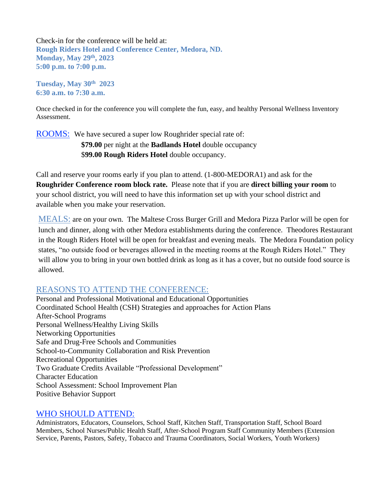Check-in for the conference will be held at: **Rough Riders Hotel and Conference Center, Medora, ND. Monday, May 29th , 2023 5:00 p.m. to 7:00 p.m.**

**Tuesday, May 30 th 2023 6:30 a.m. to 7:30 a.m.**

Once checked in for the conference you will complete the fun, easy, and healthy Personal Wellness Inventory Assessment.

**ROOMS:** We have secured a super low Roughrider special rate of: **\$79.00** per night at the **Badlands Hotel** double occupancy \$**99.00 Rough Riders Hotel** double occupancy.

Call and reserve your rooms early if you plan to attend. (1-800-MEDORA1) and ask for the **Roughrider Conference room block rate.** Please note that if you are **direct billing your room** to your school district, you will need to have this information set up with your school district and available when you make your reservation.

MEALS: are on your own. The Maltese Cross Burger Grill and Medora Pizza Parlor will be open for lunch and dinner, along with other Medora establishments during the conference. Theodores Restaurant in the Rough Riders Hotel will be open for breakfast and evening meals. The Medora Foundation policy states, "no outside food or beverages allowed in the meeting rooms at the Rough Riders Hotel."They will allow you to bring in your own bottled drink as long as it has a cover, but no outside food source is allowed.

# REASONS TO ATTEND THE CONFERENCE:

Personal and Professional Motivational and Educational Opportunities Coordinated School Health (CSH) Strategies and approaches for Action Plans After-School Programs Personal Wellness/Healthy Living Skills Networking Opportunities Safe and Drug-Free Schools and Communities School-to-Community Collaboration and Risk Prevention Recreational Opportunities Two Graduate Credits Available "Professional Development" Character Education School Assessment: School Improvement Plan Positive Behavior Support

# WHO SHOULD ATTEND:

Administrators, Educators, Counselors, School Staff, Kitchen Staff, Transportation Staff, School Board Members, School Nurses/Public Health Staff, After-School Program Staff Community Members (Extension Service, Parents, Pastors, Safety, Tobacco and Trauma Coordinators, Social Workers, Youth Workers)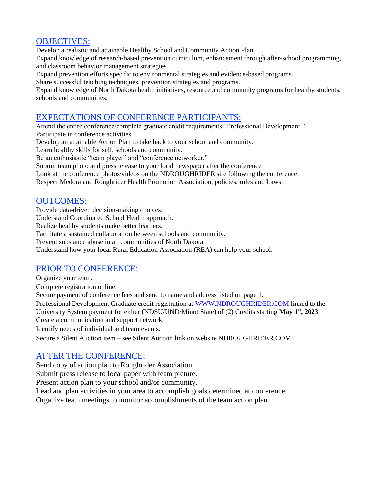#### OBJECTIVES:

Develop a realistic and attainable Healthy School and Community Action Plan. Expand knowledge of research-based prevention curriculum, enhancement through after-school programming, and classroom behavior management strategies.

Expand prevention efforts specific to environmental strategies and evidence-based programs.

Share successful teaching techniques, prevention strategies and programs.

Expand knowledge of North Dakota health initiatives, resource and community programs for healthy students, schools and communities.

# EXPECTATIONS OF CONFERENCE PARTICIPANTS:

Attend the entire conference/complete graduate credit requirements "Professional Development." Participate in conference activities.

Develop an attainable Action Plan to take back to your school and community.

Learn healthy skills for self, schools and community.

Be an enthusiastic "team player" and "conference networker."

Submit team photo and press release to your local newspaper after the conference

Look at the conference photos/videos on the NDROUGHRIDER site following the conference.

Respect Medora and Roughrider Health Promotion Association, policies, rules and Laws.

# OUTCOMES:

Provide data-driven decision-making choices.

Understand Coordinated School Health approach.

Realize healthy students make better learners.

Facilitate a sustained collaboration between schools and community.

Prevent substance abuse in all communities of North Dakota.

Understand how your local Rural Education Association (REA) can help your school.

# PRIOR TO CONFERENCE:

Organize your team.

Complete registration online.

Secure payment of conference fees and send to name and address listed on page 1.

Professional Development Graduate credit registration at [WWW.NDROUGHRIDER.COM](http://www.ndroughrider.com/) linked to the University System payment for either (NDSU/UND/Minot State) of (2) Credits starting **May 1st, 2023** Create a communication and support network.

Identify needs of individual and team events.

Secure a Silent Auction item – see Silent Auction link on website NDROUGHRIDER.COM

# AFTER THE CONFERENCE:

Send copy of action plan to Roughrider Association

Submit press release to local paper with team picture.

Present action plan to your school and/or community.

Lead and plan activities in your area to accomplish goals determined at conference.

Organize team meetings to monitor accomplishments of the team action plan.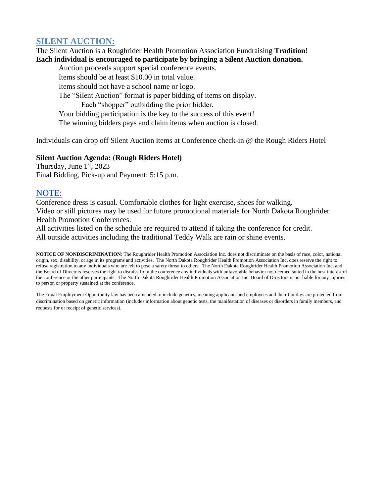# **SILENT AUCTION:**

The Silent Auction is a Roughrider Health Promotion Association Fundraising **Tradition**! **Each individual is encouraged to participate by bringing a Silent Auction donation.** 

Auction proceeds support special conference events. Items should be at least \$10.00 in total value. Items should not have a school name or logo. The "Silent Auction" format is paper bidding of items on display. Each "shopper" outbidding the prior bidder. Your bidding participation is the key to the success of this event! The winning bidders pays and claim items when auction is closed.

Individuals can drop off Silent Auction items at Conference check-in @ the Rough Riders Hotel

#### **Silent Auction Agenda:** (**Rough Riders Hotel)**

Thursday, June  $1<sup>st</sup>$ , 2023 Final Bidding, Pick-up and Payment: 5:15 p.m.

#### NOTE:

Conference dress is casual. Comfortable clothes for light exercise, shoes for walking. Video or still pictures may be used for future promotional materials for North Dakota Roughrider Health Promotion Conferences.

All activities listed on the schedule are required to attend if taking the conference for credit. All outside activities including the traditional Teddy Walk are rain or shine events.

**NOTICE OF NONDISCRIMINATION**: The Roughrider Health Promotion Association Inc. does not discriminate on the basis of race, color, national origin, sex, disability, or age in its programs and activities. The North Dakota Roughrider Health Promotion Association Inc. does reserve the right to refuse registration to any individuals who are felt to pose a safety threat to others. The North Dakota Roughrider Health Promotion Association Inc. and the Board of Directors reserves the right to dismiss from the conference any individuals with unfavorable behavior not deemed suited in the best interest of the conference or the other participants. The North Dakota Roughrider Health Promotion Association Inc. Board of Directors is not liable for any injuries to person or property sustained at the conference.

The Equal Employment Opportunity law has been amended to include genetics, meaning applicants and employees and their families are protected from discrimination based on genetic information (includes information about genetic tests, the manifestation of diseases or disorders in family members, and requests for or receipt of genetic services).